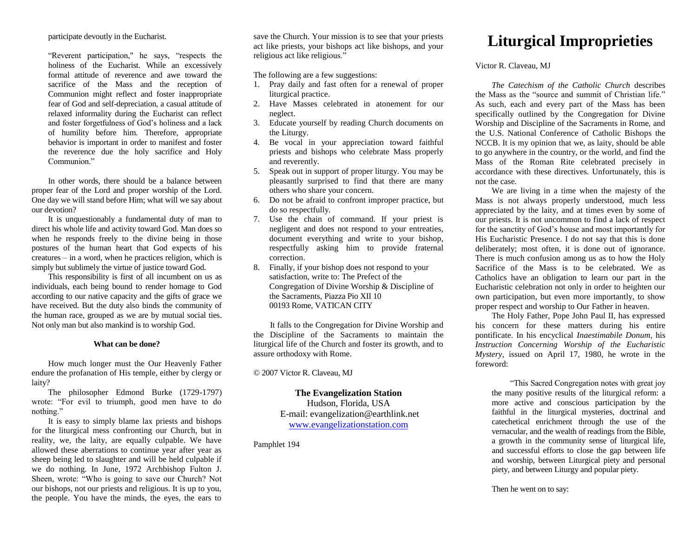participate devoutly in the Eucharist.

"Reverent participation," he says, "respects the holiness of the Eucharist. While an excessively formal attitude of reverence and awe toward the sacrifice of the Mass and the reception of Communion might reflect and foster inappropriate fear of God and self-depreciation, a casual attitude of relaxed informality during the Eucharist can reflect and foster forgetfulness of God's holiness and a lack of humility before him. Therefore, appropriate behavior is important in order to manifest and foster the reverence due the holy sacrifice and Holy Communion<sup>"</sup>

In other words, there should be a balance between proper fear of the Lord and proper worship of the Lord. One day we will stand before Him; what will we say about our devotion?

It is unquestionably a fundamental duty of man to direct his whole life and activity toward God. Man does so when he responds freely to the divine being in those postures of the human heart that God expects of his creatures – in a word, when he practices religion, which is simply but sublimely the virtue of justice toward God.

This responsibility is first of all incumbent on us as individuals, each being bound to render homage to God according to our native capacity and the gifts of grace we have received. But the duty also binds the community of the human race, grouped as we are by mutual social ties. Not only man but also mankind is to worship God.

## **What can be done?**

How much longer must the Our Heavenly Father endure the profanation of His temple, either by clergy or laity?

The philosopher Edmond Burke (1729-1797) wrote: "For evil to triumph, good men have to do nothing."

It is easy to simply blame lax priests and bishops for the liturgical mess confronting our Church, but in reality, we, the laity, are equally culpable. We have allowed these aberrations to continue year after year as sheep being led to slaughter and will be held culpable if we do nothing. In June, 1972 Archbishop Fulton J. Sheen, wrote: "Who is going to save our Church? Not our bishops, not our priests and religious. It is up to you, the people. You have the minds, the eyes, the ears to

save the Church. Your mission is to see that your priests act like priests, your bishops act like bishops, and your religious act like religious."

The following are a few suggestions:

- 1. Pray daily and fast often for a renewal of proper liturgical practice.
- 2. Have Masses celebrated in atonement for our neglect.
- 3. Educate yourself by reading Church documents on the Liturgy.
- 4. Be vocal in your appreciation toward faithful priests and bishops who celebrate Mass properly and reverently.
- 5. Speak out in support of proper liturgy. You may be pleasantly surprised to find that there are many others who share your concern.
- 6. Do not be afraid to confront improper practice, but do so respectfully.
- 7. Use the chain of command. If your priest is negligent and does not respond to your entreaties, document everything and write to your bishop, respectfully asking him to provide fraternal correction.
- 8. Finally, if your bishop does not respond to your satisfaction, write to: The Prefect of the Congregation of Divine Worship & Discipline of the Sacraments, Piazza Pio XII 10 00193 Rome, VATICAN CITY

It falls to the Congregation for Divine Worship and the Discipline of the Sacraments to maintain the liturgical life of the Church and foster its growth, and to assure orthodoxy with Rome.

© 2007 Victor R. Claveau, MJ

**The Evangelization Station** Hudson, Florida, USA E-mail: evangelization@earthlink.net [www.evangelizationstation.com](http://www.pjpiisoe.org/)

Pamphlet 194

## **Liturgical Improprieties**

Victor R. Claveau, MJ

*The Catechism of the Catholic Church* describes the Mass as the "source and summit of Christian life." As such, each and every part of the Mass has been specifically outlined by the Congregation for Divine Worship and Discipline of the Sacraments in Rome, and the U.S. National Conference of Catholic Bishops the NCCB. It is my opinion that we, as laity, should be able to go anywhere in the country, or the world, and find the Mass of the Roman Rite celebrated precisely in accordance with these directives. Unfortunately, this is not the case.

We are living in a time when the majesty of the Mass is not always properly understood, much less appreciated by the laity, and at times even by some of our priests. It is not uncommon to find a lack of respect for the sanctity of God's house and most importantly for His Eucharistic Presence. I do not say that this is done deliberately; most often, it is done out of ignorance. There is much confusion among us as to how the Holy Sacrifice of the Mass is to be celebrated. We as Catholics have an obligation to learn our part in the Eucharistic celebration not only in order to heighten our own participation, but even more importantly, to show proper respect and worship to Our Father in heaven.

The Holy Father, Pope John Paul II, has expressed his concern for these matters during his entire pontificate. In his encyclical *Inaestimabile Donum,* his *Instruction Concerning Worship of the Eucharistic Mystery,* issued on April 17, 1980, he wrote in the foreword:

"This Sacred Congregation notes with great joy the many positive results of the liturgical reform: a more active and conscious participation by the faithful in the liturgical mysteries, doctrinal and catechetical enrichment through the use of the vernacular, and the wealth of readings from the Bible, a growth in the community sense of liturgical life, and successful efforts to close the gap between life and worship, between Liturgical piety and personal piety, and between Liturgy and popular piety.

Then he went on to say: